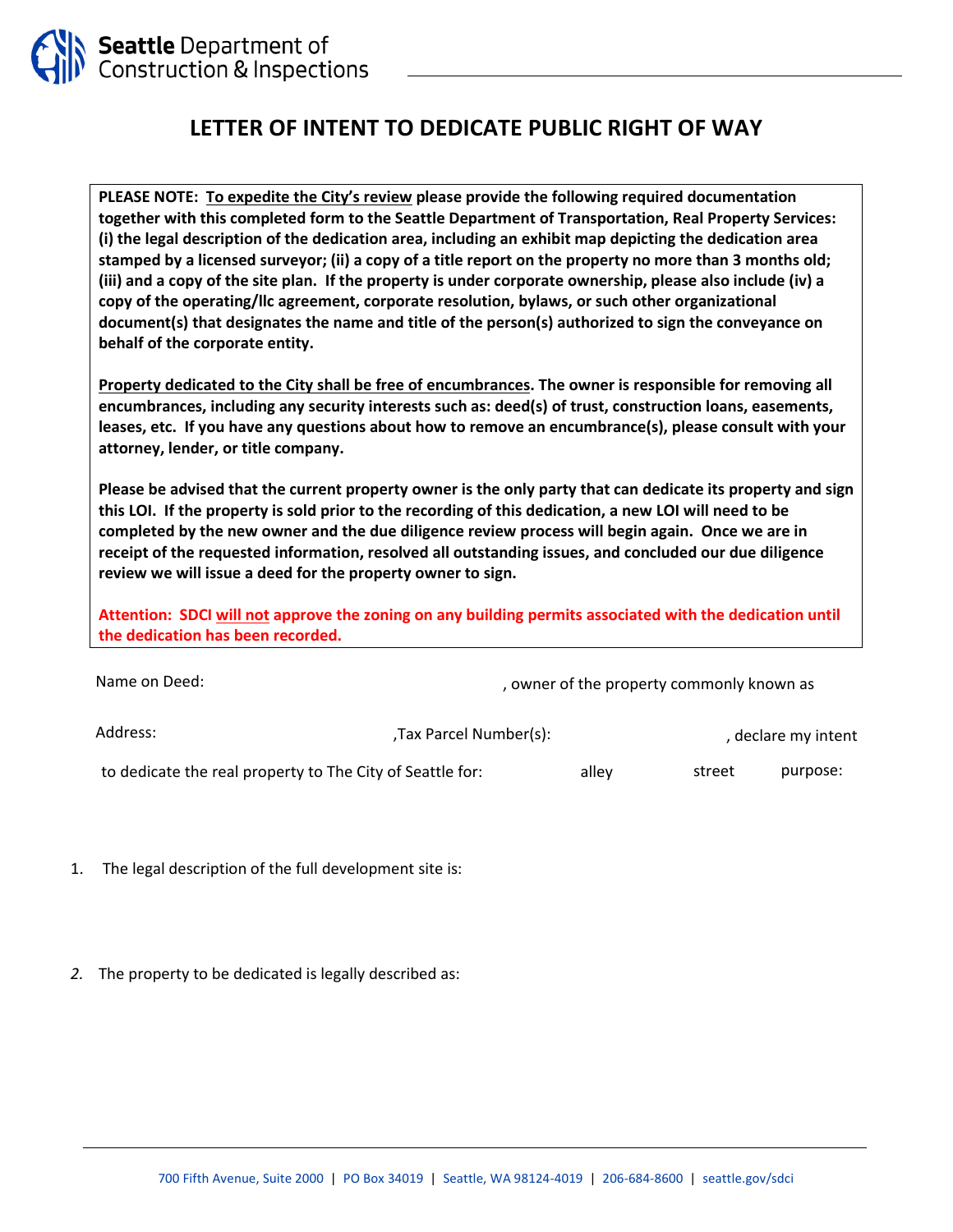

## **LETTER OF INTENT TO DEDICATE PUBLIC RIGHT OF WAY**

**PLEASE NOTE: To expedite the City's review please provide the following required documentation together with this completed form to the Seattle Department of Transportation, Real Property Services: (i) the legal description of the dedication area, including an exhibit map depicting the dedication area stamped by a licensed surveyor; (ii) a copy of a title report on the property no more than 3 months old; (iii) and a copy of the site plan. If the property is under corporate ownership, please also include (iv) a copy of the operating/llc agreement, corporate resolution, bylaws, or such other organizational document(s) that designates the name and title of the person(s) authorized to sign the conveyance on behalf of the corporate entity.**

**Property dedicated to the City shall be free of encumbrances. The owner is responsible for removing all encumbrances, including any security interests such as: deed(s) of trust, construction loans, easements, leases, etc. If you have any questions about how to remove an encumbrance(s), please consult with your attorney, lender, or title company.** 

**Please be advised that the current property owner is the only party that can dedicate its property and sign this LOI. If the property is sold prior to the recording of this dedication, a new LOI will need to be completed by the new owner and the due diligence review process will begin again. Once we are in receipt of the requested information, resolved all outstanding issues, and concluded our due diligence review we will issue a deed for the property owner to sign.** 

**Attention: SDCI will not approve the zoning on any building permits associated with the dedication until the dedication has been recorded.**

| Name on Deed:                                             |                        | , owner of the property commonly known as |        |                     |
|-----------------------------------------------------------|------------------------|-------------------------------------------|--------|---------------------|
| Address:                                                  | .Tax Parcel Number(s); |                                           |        | , declare my intent |
| to dedicate the real property to The City of Seattle for: |                        | alley                                     | street | purpose:            |

- 1. The legal description of the full development site is:
- *2.* The property to be dedicated is legally described as: